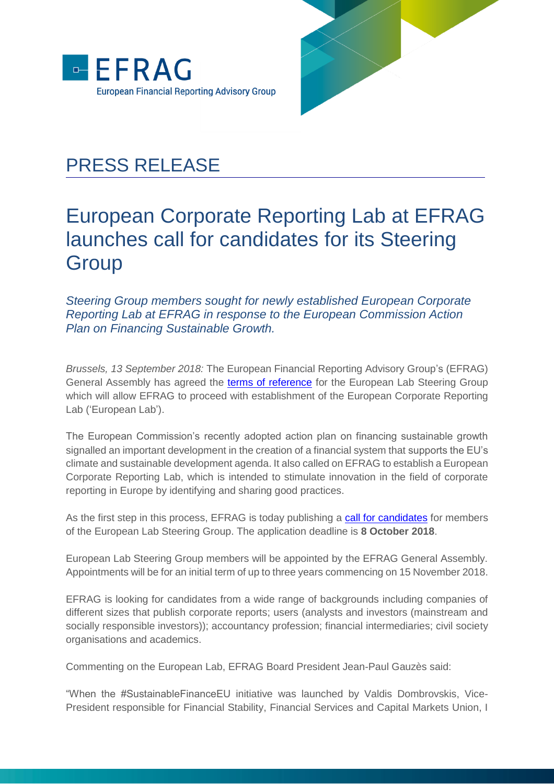



## PRESS RELEASE

## European Corporate Reporting Lab at EFRAG launches call for candidates for its Steering **Group**

*Steering Group members sought for newly established European Corporate Reporting Lab at EFRAG in response to the European Commission Action Plan on Financing Sustainable Growth.*

*Brussels, 13 September 2018:* The European Financial Reporting Advisory Group's (EFRAG) General Assembly has agreed the [terms of reference](http://efrag.org/Assets/Download?assetUrl=%2Fsites%2Fwebpublishing%2FProject%20Documents%2F1807101446085163%2FEuropean%20Lab%20SG%20terms%20of%20reference.pdf) for the European Lab Steering Group which will allow EFRAG to proceed with establishment of the European Corporate Reporting Lab ('European Lab').

The European Commission's recently adopted action plan on financing sustainable growth signalled an important development in the creation of a financial system that supports the EU's climate and sustainable development agenda. It also called on EFRAG to establish a European Corporate Reporting Lab, which is intended to stimulate innovation in the field of corporate reporting in Europe by identifying and sharing good practices.

As the first step in this process, EFRAG is today publishing a [call for candidates](http://efrag.org/Assets/Download?assetUrl=%2Fsites%2Fwebpublishing%2FProject%20Documents%2F1807101446085163%2FCall%20for%20European%20Lab%20SG%20candidates%20180913.pdf) for members of the European Lab Steering Group. The application deadline is **8 October 2018**.

European Lab Steering Group members will be appointed by the EFRAG General Assembly. Appointments will be for an initial term of up to three years commencing on 15 November 2018.

EFRAG is looking for candidates from a wide range of backgrounds including companies of different sizes that publish corporate reports; users (analysts and investors (mainstream and socially responsible investors)); accountancy profession; financial intermediaries; civil society organisations and academics.

Commenting on the European Lab, EFRAG Board President Jean-Paul Gauzès said:

"When the #SustainableFinanceEU initiative was launched by Valdis Dombrovskis, Vice-President responsible for Financial Stability, Financial Services and Capital Markets Union, I